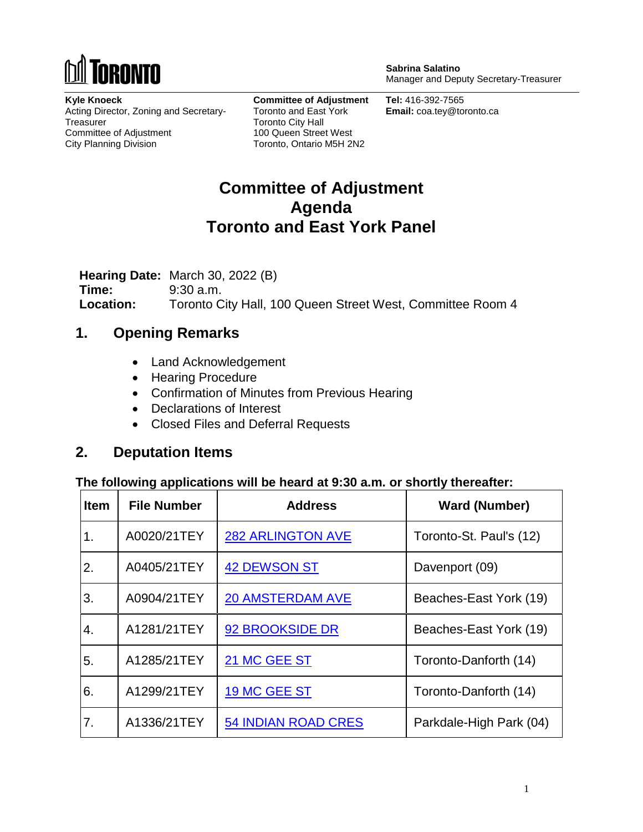

**Sabrina Salatino** Manager and Deputy Secretary-Treasurer

**Kyle Knoeck** Acting Director, Zoning and Secretary-**Treasurer** Committee of Adjustment City Planning Division

**Committee of Adjustment** Toronto and East York Toronto City Hall 100 Queen Street West Toronto, Ontario M5H 2N2

**Tel:** 416-392-7565 **Email:** coa.tey@toronto.ca

# **Committee of Adjustment Agenda Toronto and East York Panel**

**Hearing Date:** March 30, 2022 (B) **Time:** 9:30 a.m. **Location:** Toronto City Hall, 100 Queen Street West, Committee Room 4

### **1. Opening Remarks**

- Land Acknowledgement
- Hearing Procedure
- Confirmation of Minutes from Previous Hearing
- Declarations of Interest
- Closed Files and Deferral Requests

### **2. Deputation Items**

#### **The following applications will be heard at 9:30 a.m. or shortly thereafter:**

| <b>Item</b> | <b>File Number</b> | <b>Address</b>             | <b>Ward (Number)</b>    |
|-------------|--------------------|----------------------------|-------------------------|
| 1.          | A0020/21TEY        | <b>282 ARLINGTON AVE</b>   | Toronto-St. Paul's (12) |
| 2.          | A0405/21TEY        | <b>42 DEWSON ST</b>        | Davenport (09)          |
| 3.          | A0904/21TEY        | <b>20 AMSTERDAM AVE</b>    | Beaches-East York (19)  |
| 4.          | A1281/21TEY        | 92 BROOKSIDE DR            | Beaches-East York (19)  |
| 5.          | A1285/21TEY        | 21 MC GEE ST               | Toronto-Danforth (14)   |
| 6.          | A1299/21TEY        | 19 MC GEE ST               | Toronto-Danforth (14)   |
| 7.          | A1336/21TEY        | <b>54 INDIAN ROAD CRES</b> | Parkdale-High Park (04) |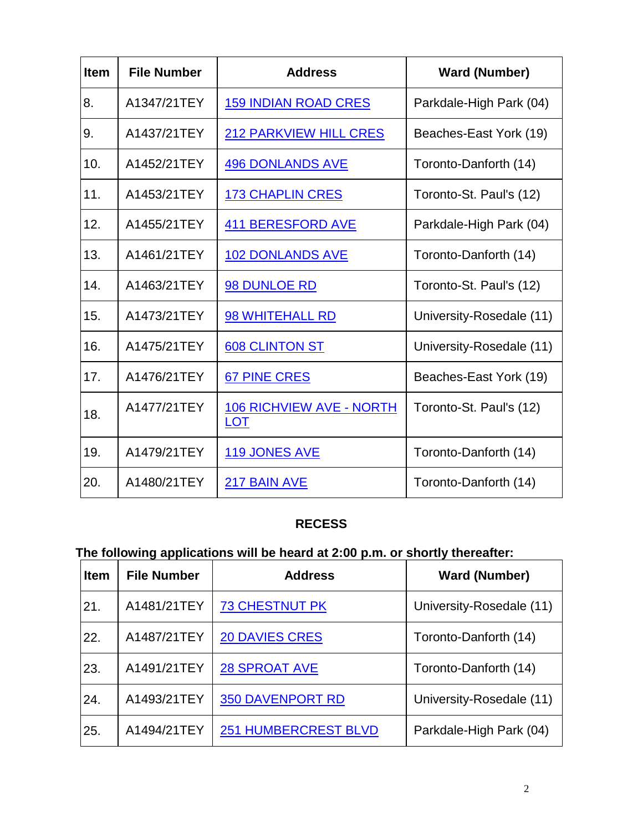| <b>Item</b> | <b>File Number</b> | <b>Address</b>                                | <b>Ward (Number)</b>     |
|-------------|--------------------|-----------------------------------------------|--------------------------|
| 8.          | A1347/21TEY        | <b>159 INDIAN ROAD CRES</b>                   | Parkdale-High Park (04)  |
| 9.          | A1437/21TEY        | <b>212 PARKVIEW HILL CRES</b>                 | Beaches-East York (19)   |
| 10.         | A1452/21TEY        | <b>496 DONLANDS AVE</b>                       | Toronto-Danforth (14)    |
| 11.         | A1453/21TEY        | <b>173 CHAPLIN CRES</b>                       | Toronto-St. Paul's (12)  |
| 12.         | A1455/21TEY        | <b>411 BERESFORD AVE</b>                      | Parkdale-High Park (04)  |
| 13.         | A1461/21TEY        | <b>102 DONLANDS AVE</b>                       | Toronto-Danforth (14)    |
| 14.         | A1463/21TEY        | 98 DUNLOE RD                                  | Toronto-St. Paul's (12)  |
| 15.         | A1473/21TEY        | 98 WHITEHALL RD                               | University-Rosedale (11) |
| 16.         | A1475/21TEY        | <b>608 CLINTON ST</b>                         | University-Rosedale (11) |
| 17.         | A1476/21TEY        | <b>67 PINE CRES</b>                           | Beaches-East York (19)   |
| 18.         | A1477/21TEY        | <b>106 RICHVIEW AVE - NORTH</b><br><b>LOT</b> | Toronto-St. Paul's (12)  |
| 19.         | A1479/21TEY        | 119 JONES AVE                                 | Toronto-Danforth (14)    |
| 20.         | A1480/21TEY        | 217 BAIN AVE                                  | Toronto-Danforth (14)    |

#### **RECESS**

# **The following applications will be heard at 2:00 p.m. or shortly thereafter:**

| <b>Item</b> | <b>File Number</b> | <b>Address</b>              | <b>Ward (Number)</b>     |
|-------------|--------------------|-----------------------------|--------------------------|
| 21.         | A1481/21TEY        | <b>73 CHESTNUT PK</b>       | University-Rosedale (11) |
| 22.         | A1487/21TEY        | <b>20 DAVIES CRES</b>       | Toronto-Danforth (14)    |
| 23.         | A1491/21TEY        | <b>28 SPROAT AVE</b>        | Toronto-Danforth (14)    |
| 24.         | A1493/21TEY        | <b>350 DAVENPORT RD</b>     | University-Rosedale (11) |
| 25.         | A1494/21TEY        | <b>251 HUMBERCREST BLVD</b> | Parkdale-High Park (04)  |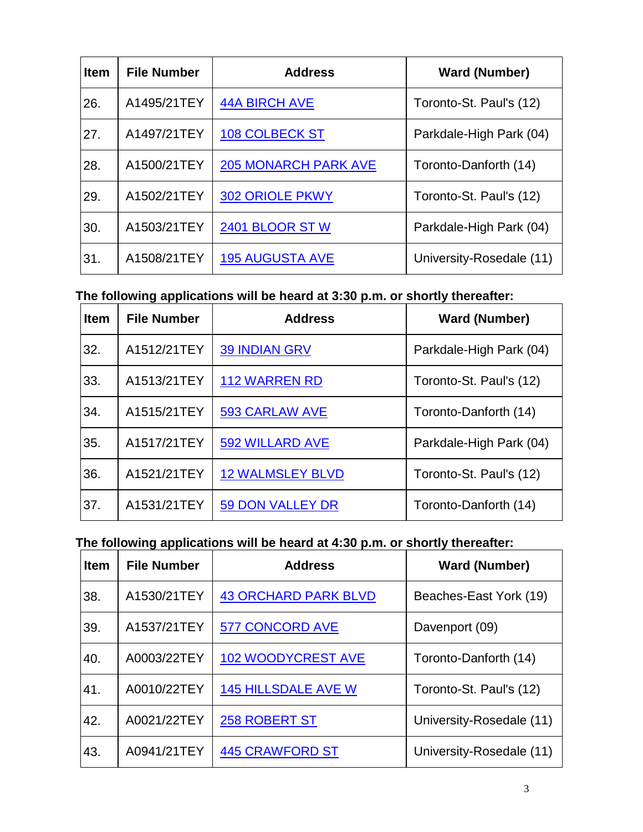| <b>Item</b> | <b>File Number</b> | <b>Address</b>              | <b>Ward (Number)</b>     |
|-------------|--------------------|-----------------------------|--------------------------|
| 26.         | A1495/21TEY        | <b>44A BIRCH AVE</b>        | Toronto-St. Paul's (12)  |
| 27.         | A1497/21TEY        | <b>108 COLBECK ST</b>       | Parkdale-High Park (04)  |
| 28.         | A1500/21TEY        | <b>205 MONARCH PARK AVE</b> | Toronto-Danforth (14)    |
| 29.         | A1502/21TEY        | <b>302 ORIOLE PKWY</b>      | Toronto-St. Paul's (12)  |
| 30.         | A1503/21TEY        | 2401 BLOOR STW              | Parkdale-High Park (04)  |
| 31.         | A1508/21TEY        | <b>195 AUGUSTA AVE</b>      | University-Rosedale (11) |

### **The following applications will be heard at 3:30 p.m. or shortly thereafter:**

| <b>Item</b> | <b>File Number</b> | <b>Address</b>          | <b>Ward (Number)</b>    |
|-------------|--------------------|-------------------------|-------------------------|
| 32.         | A1512/21TEY        | <b>39 INDIAN GRV</b>    | Parkdale-High Park (04) |
| 33.         | A1513/21TEY        | <b>112 WARREN RD</b>    | Toronto-St. Paul's (12) |
| 34.         | A1515/21TEY        | 593 CARLAW AVE          | Toronto-Danforth (14)   |
| 35.         | A1517/21TEY        | 592 WILLARD AVE         | Parkdale-High Park (04) |
| 36.         | A1521/21TEY        | <b>12 WALMSLEY BLVD</b> | Toronto-St. Paul's (12) |
| 37.         | A1531/21TEY        | 59 DON VALLEY DR        | Toronto-Danforth (14)   |

#### **The following applications will be heard at 4:30 p.m. or shortly thereafter:**

| <b>Item</b> | <b>File Number</b> | <b>Address</b>              | <b>Ward (Number)</b>     |
|-------------|--------------------|-----------------------------|--------------------------|
| 38.         | A1530/21TEY        | <b>43 ORCHARD PARK BLVD</b> | Beaches-East York (19)   |
| 39.         | A1537/21TEY        | <b>577 CONCORD AVE</b>      | Davenport (09)           |
| 40.         | A0003/22TEY        | <b>102 WOODYCREST AVE</b>   | Toronto-Danforth (14)    |
| 41.         | A0010/22TEY        | <b>145 HILLSDALE AVE W</b>  | Toronto-St. Paul's (12)  |
| 42.         | A0021/22TEY        | 258 ROBERT ST               | University-Rosedale (11) |
| 43.         | A0941/21TEY        | <b>445 CRAWFORD ST</b>      | University-Rosedale (11) |